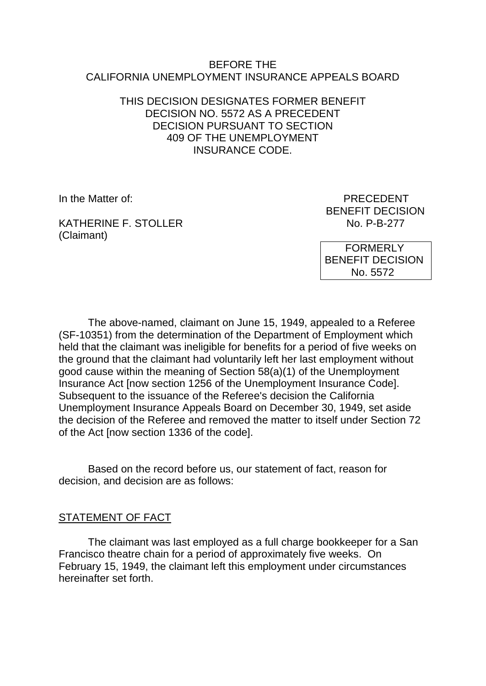#### BEFORE THE CALIFORNIA UNEMPLOYMENT INSURANCE APPEALS BOARD

## THIS DECISION DESIGNATES FORMER BENEFIT DECISION NO. 5572 AS A PRECEDENT DECISION PURSUANT TO SECTION 409 OF THE UNEMPLOYMENT INSURANCE CODE.

KATHERINE F. STOLLER (Claimant)

In the Matter of: PRECEDENT BENEFIT DECISION<br>No. P-B-277

> FORMERLY BENEFIT DECISION No. 5572

The above-named, claimant on June 15, 1949, appealed to a Referee (SF-10351) from the determination of the Department of Employment which held that the claimant was ineligible for benefits for a period of five weeks on the ground that the claimant had voluntarily left her last employment without good cause within the meaning of Section 58(a)(1) of the Unemployment Insurance Act [now section 1256 of the Unemployment Insurance Code]. Subsequent to the issuance of the Referee's decision the California Unemployment Insurance Appeals Board on December 30, 1949, set aside the decision of the Referee and removed the matter to itself under Section 72 of the Act [now section 1336 of the code].

Based on the record before us, our statement of fact, reason for decision, and decision are as follows:

### STATEMENT OF FACT

The claimant was last employed as a full charge bookkeeper for a San Francisco theatre chain for a period of approximately five weeks. On February 15, 1949, the claimant left this employment under circumstances hereinafter set forth.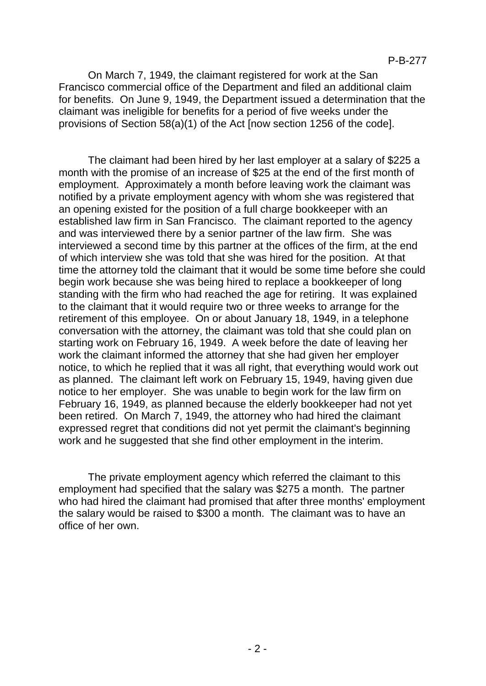On March 7, 1949, the claimant registered for work at the San Francisco commercial office of the Department and filed an additional claim for benefits. On June 9, 1949, the Department issued a determination that the claimant was ineligible for benefits for a period of five weeks under the provisions of Section 58(a)(1) of the Act [now section 1256 of the code].

The claimant had been hired by her last employer at a salary of \$225 a month with the promise of an increase of \$25 at the end of the first month of employment. Approximately a month before leaving work the claimant was notified by a private employment agency with whom she was registered that an opening existed for the position of a full charge bookkeeper with an established law firm in San Francisco. The claimant reported to the agency and was interviewed there by a senior partner of the law firm. She was interviewed a second time by this partner at the offices of the firm, at the end of which interview she was told that she was hired for the position. At that time the attorney told the claimant that it would be some time before she could begin work because she was being hired to replace a bookkeeper of long standing with the firm who had reached the age for retiring. It was explained to the claimant that it would require two or three weeks to arrange for the retirement of this employee. On or about January 18, 1949, in a telephone conversation with the attorney, the claimant was told that she could plan on starting work on February 16, 1949. A week before the date of leaving her work the claimant informed the attorney that she had given her employer notice, to which he replied that it was all right, that everything would work out as planned. The claimant left work on February 15, 1949, having given due notice to her employer. She was unable to begin work for the law firm on February 16, 1949, as planned because the elderly bookkeeper had not yet been retired. On March 7, 1949, the attorney who had hired the claimant expressed regret that conditions did not yet permit the claimant's beginning work and he suggested that she find other employment in the interim.

The private employment agency which referred the claimant to this employment had specified that the salary was \$275 a month. The partner who had hired the claimant had promised that after three months' employment the salary would be raised to \$300 a month. The claimant was to have an office of her own.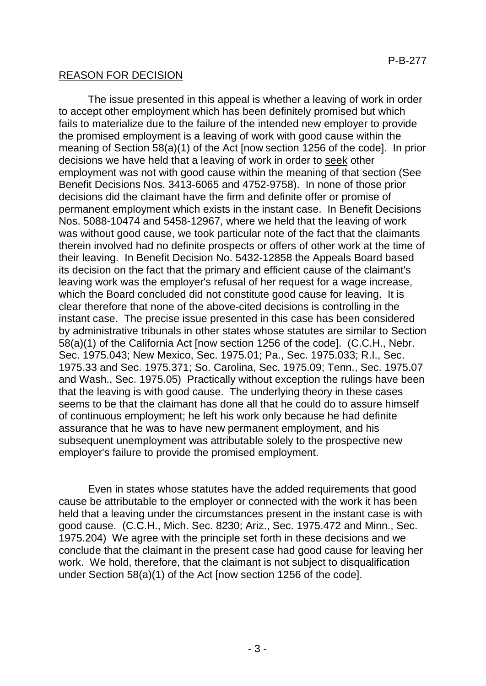# REASON FOR DECISION

The issue presented in this appeal is whether a leaving of work in order to accept other employment which has been definitely promised but which fails to materialize due to the failure of the intended new employer to provide the promised employment is a leaving of work with good cause within the meaning of Section 58(a)(1) of the Act [now section 1256 of the code]. In prior decisions we have held that a leaving of work in order to seek other employment was not with good cause within the meaning of that section (See Benefit Decisions Nos. 3413-6065 and 4752-9758). In none of those prior decisions did the claimant have the firm and definite offer or promise of permanent employment which exists in the instant case. In Benefit Decisions Nos. 5088-10474 and 5458-12967, where we held that the leaving of work was without good cause, we took particular note of the fact that the claimants therein involved had no definite prospects or offers of other work at the time of their leaving. In Benefit Decision No. 5432-12858 the Appeals Board based its decision on the fact that the primary and efficient cause of the claimant's leaving work was the employer's refusal of her request for a wage increase, which the Board concluded did not constitute good cause for leaving. It is clear therefore that none of the above-cited decisions is controlling in the instant case. The precise issue presented in this case has been considered by administrative tribunals in other states whose statutes are similar to Section 58(a)(1) of the California Act [now section 1256 of the code]. (C.C.H., Nebr. Sec. 1975.043; New Mexico, Sec. 1975.01; Pa., Sec. 1975.033; R.I., Sec. 1975.33 and Sec. 1975.371; So. Carolina, Sec. 1975.09; Tenn., Sec. 1975.07 and Wash., Sec. 1975.05) Practically without exception the rulings have been that the leaving is with good cause. The underlying theory in these cases seems to be that the claimant has done all that he could do to assure himself of continuous employment; he left his work only because he had definite assurance that he was to have new permanent employment, and his subsequent unemployment was attributable solely to the prospective new employer's failure to provide the promised employment.

Even in states whose statutes have the added requirements that good cause be attributable to the employer or connected with the work it has been held that a leaving under the circumstances present in the instant case is with good cause. (C.C.H., Mich. Sec. 8230; Ariz., Sec. 1975.472 and Minn., Sec. 1975.204) We agree with the principle set forth in these decisions and we conclude that the claimant in the present case had good cause for leaving her work. We hold, therefore, that the claimant is not subject to disqualification under Section 58(a)(1) of the Act [now section 1256 of the code].